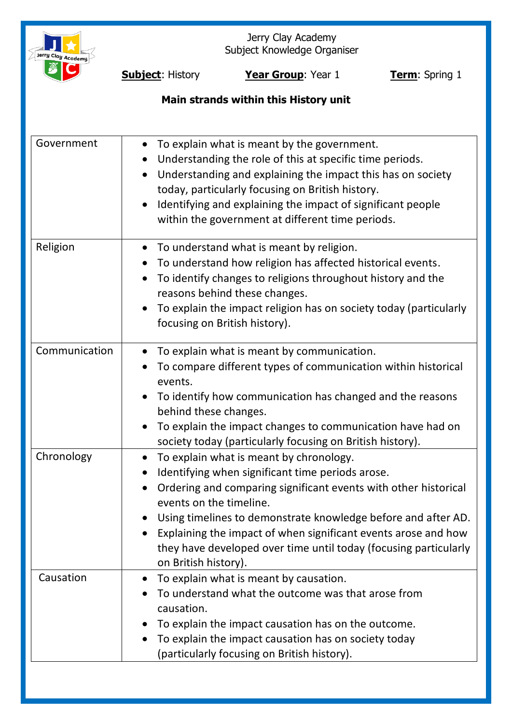

Jerry Clay Academy Subject Knowledge Organiser

**Subject:** History **Year Group**: Year 1 **Term**: Spring 1

# **Main strands within this History unit**

| Government    | To explain what is meant by the government.<br>$\bullet$<br>Understanding the role of this at specific time periods.<br>Understanding and explaining the impact this has on society<br>today, particularly focusing on British history.<br>Identifying and explaining the impact of significant people<br>within the government at different time periods.                                                               |
|---------------|--------------------------------------------------------------------------------------------------------------------------------------------------------------------------------------------------------------------------------------------------------------------------------------------------------------------------------------------------------------------------------------------------------------------------|
| Religion      | To understand what is meant by religion.<br>$\bullet$<br>To understand how religion has affected historical events.<br>To identify changes to religions throughout history and the<br>$\bullet$                                                                                                                                                                                                                          |
|               | reasons behind these changes.<br>To explain the impact religion has on society today (particularly<br>focusing on British history).                                                                                                                                                                                                                                                                                      |
| Communication | To explain what is meant by communication.<br>$\bullet$<br>To compare different types of communication within historical<br>events.<br>To identify how communication has changed and the reasons<br>behind these changes.<br>To explain the impact changes to communication have had on<br>society today (particularly focusing on British history).                                                                     |
| Chronology    | To explain what is meant by chronology.<br>Identifying when significant time periods arose.<br>Ordering and comparing significant events with other historical<br>events on the timeline.<br>Using timelines to demonstrate knowledge before and after AD.<br>Explaining the impact of when significant events arose and how<br>they have developed over time until today (focusing particularly<br>on British history). |
| Causation     | To explain what is meant by causation.<br>$\bullet$<br>To understand what the outcome was that arose from<br>causation.<br>To explain the impact causation has on the outcome.<br>To explain the impact causation has on society today<br>(particularly focusing on British history).                                                                                                                                    |